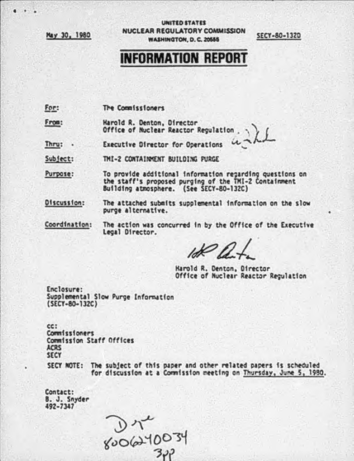May 30, 1980

UNITED STATES NUCLEAR REGULATORY COMMISSION WASHINGTON, D.C. 20555

SECY-80-1320

## **INFORMATION REPORT**

For: The Compissioners

From: Harold R. Denton, Director Office of Nuclear Reactor Requiation

Thru: -Executive Director for Operations

Subject: TMI-2 CONTAINMENT BUILDING PURGE

Purpose: To provide additional information regarding questions on the staff's proposed purging of the TMI-2 Containment Building atmosphere. (See SECY-80-132C)

Discussion: The attached submits supplemental information on the slow purge alternative.

Coordination: The action was concurred in by the Office of the Executive Legal Director.

 $100R$ 

Harold R. Denton, Director Office of Nuclear Reactor Reculation

Enclosure: Supplemental Slow Purge Information (SECY-80-132C)

CC: **Commissioners** Commission Staff Offices **ACRS SECY** 

SECY NOTE: The subject of this paper and other related papers is scheduled for discussion at a Commission meeting on Thursday, June 5, 1980.

Contact: B. J. Snyder 492-7347

 $27$ <br>8006240034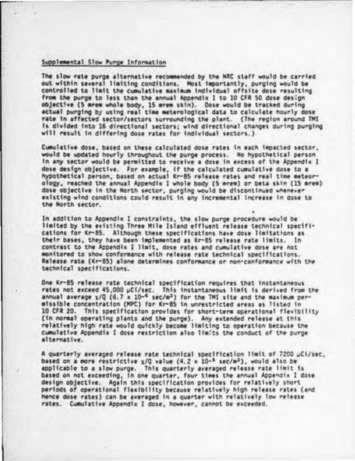## Supplemental Slow Purge Information

The slow rate purge alternative recommended by the NRC staff would be carried out within several limiting conditions. Most importantly, purging would be controlled to limit the cumulative maximum individual offsite dose resulting from the purge to less than the annual Appendix I to 10 CFR 50 dose design objective (5 mrem whole body, 15 mrem skin). Dose would be tracked during actual purging by using real time meterological data to calculate hourly dose rate in affected sector/sectors surrounding the plant. (The region around TMI is divided into 16 directional sectors; wind directional changes during purging will result in differing dose rates for individual sectors.)

Cumulative dose, based on these calculated dose rates in each impacted sector, would be updated hourly throughout the purge process. No hypothetical person in any sector would be permitted to receive a dose in excess of the Appendix I dose design objective. For example, if the calculated cumulative dose to a<br>hypothetical person, based on actual Kr-85 release rates and real time meteorology, reached the annual Appendix I whole body (5 mrem) or beta skin (15 mrem) dose objective in the North sector, purging would be discontinued whenever existing wind conditions could result in any incremental increase in dose to the North sector.

In addition to Appendix I constraints, the slow purge procedure would be limited by the existing Three Mile Island effluent release technical specifications for Kr-85. Although these specifications have dose limitations as their bases, they have been implemented as Kr-85 release rate limits. In contrast to the Appendix I limit, dose rates and cumulative dose are not monitored to show conformance with release rate technical specifications. Release rate (Kr-85) alone determines conformance or non-conformance with the technical specifications.

One Kr-85 release rate technical specification requires that instantaneous rates not exceed 45,000 µCf/sec. This instantaneous limit is derived from the annual average x/Q (6.7 x 10-6 sec/m<sup>3</sup>) for the TMI site and the maximum permissible concentration (MPC) for Kr-85 in unrestricted areas as listed in 10 CFR 20. This specification provides for short-term operational flexibility (in normal operating plants and the purge). Any extended release at this relatively high rate would quickly become limiting to operation because the cumulative Appendix I dose restriction also limits the conduct of the purge alternative.

A quarterly averaged release rate technical specification limit of 7200 pCi/sec, based on a more restrictive x/Q value (4.2 x 10-<sup>3</sup> sec/m<sup>3</sup>), would also be applicable to a slow purge. This quarterly averaged release rate limit is based on not exceeding, in one quarter, four times the annual Appendix I dose design objective. Again this specification provides for relatively short periods of operational flexibility because relatively high release rates (and hence dose rates) can be averaged in a quarter with relatively low release rates. Cumulative Appendix I dose, however, cannot be exceeded.